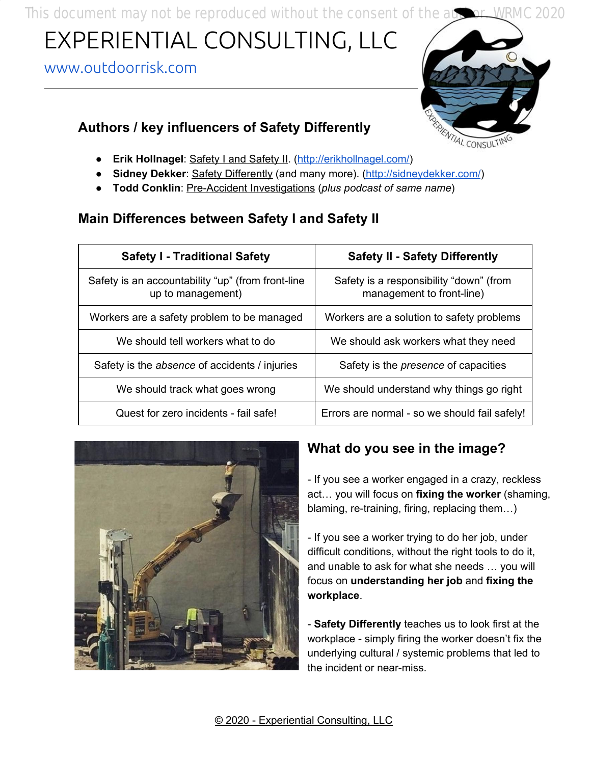This document may not be reproduced without the consent of the author. WRMC 2020

# EXPERIENTIAL CONSULTING, LLC

#### [www.outdoorrisk.com](http://www.outdoorrisk.com/)

#### **Authors / key influencers of Safety Differently**



- **Erik Hollnagel**: Safety I and Safety II. [\(http://erikhollnagel.com/](http://erikhollnagel.com/ideas/etto-principle/index.html))
- **Sidney Dekker**: Safety Differently (and many more). (<http://sidneydekker.com/>)
- **Todd Conklin**: Pre-Accident Investigations (*plus podcast of same name*)

## **Main Differences between Safety I and Safety II**

| <b>Safety I - Traditional Safety</b>                                   | <b>Safety II - Safety Differently</b>                                |
|------------------------------------------------------------------------|----------------------------------------------------------------------|
| Safety is an accountability "up" (from front-line<br>up to management) | Safety is a responsibility "down" (from<br>management to front-line) |
| Workers are a safety problem to be managed                             | Workers are a solution to safety problems                            |
| We should tell workers what to do                                      | We should ask workers what they need                                 |
| Safety is the absence of accidents / injuries                          | Safety is the <i>presence</i> of capacities                          |
| We should track what goes wrong                                        | We should understand why things go right                             |
| Quest for zero incidents - fail safe!                                  | Errors are normal - so we should fail safely!                        |



## **What do you see in the image?**

- If you see a worker engaged in a crazy, reckless act… you will focus on **fixing the worker** (shaming, blaming, re-training, firing, replacing them…)

- If you see a worker trying to do her job, under difficult conditions, without the right tools to do it, and unable to ask for what she needs … you will focus on **understanding her job** and **fixing the workplace**.

- **Safety Differently** teaches us to look first at the workplace - simply firing the worker doesn't fix the underlying cultural / systemic problems that led to the incident or near-miss.